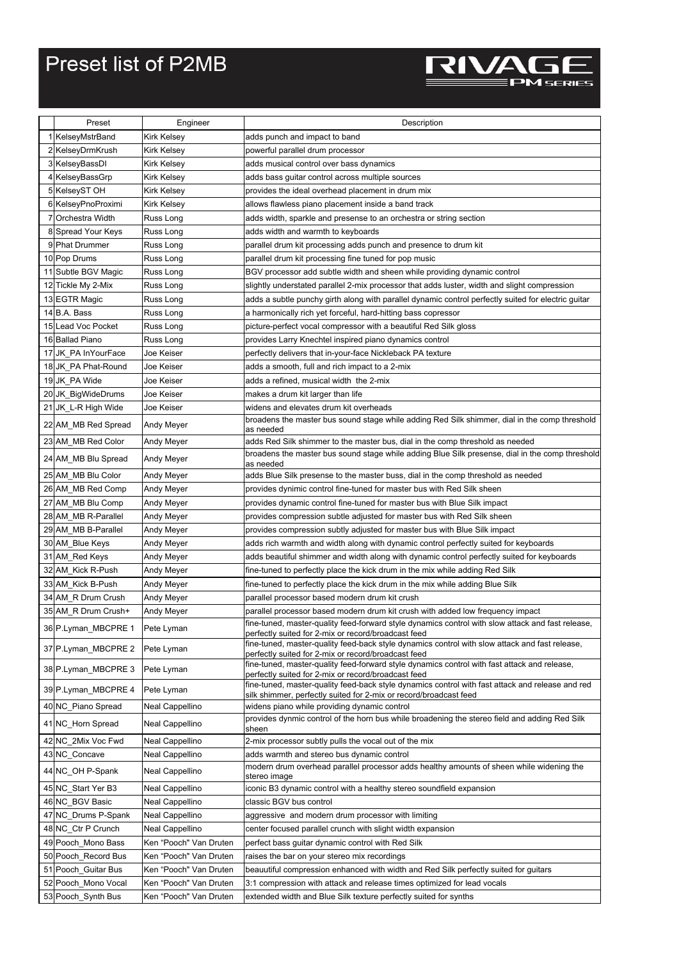## Preset list of P2MB



| Preset              | Engineer               | Description                                                                                                                                                           |
|---------------------|------------------------|-----------------------------------------------------------------------------------------------------------------------------------------------------------------------|
| 1 KelseyMstrBand    | <b>Kirk Kelsey</b>     | adds punch and impact to band                                                                                                                                         |
| 2 KelseyDrmKrush    | Kirk Kelsey            | powerful parallel drum processor                                                                                                                                      |
| 3 KelseyBassDI      | Kirk Kelsey            | adds musical control over bass dynamics                                                                                                                               |
| 4 KelseyBassGrp     | Kirk Kelsey            | adds bass guitar control across multiple sources                                                                                                                      |
| 5 KelseyST OH       | Kirk Kelsey            | provides the ideal overhead placement in drum mix                                                                                                                     |
| 6 KelseyPnoProximi  | Kirk Kelsey            | allows flawless piano placement inside a band track                                                                                                                   |
| 7 Orchestra Width   | Russ Long              | adds width, sparkle and presense to an orchestra or string section                                                                                                    |
| 8 Spread Your Keys  | Russ Long              | adds width and warmth to keyboards                                                                                                                                    |
| 9 Phat Drummer      | Russ Long              | parallel drum kit processing adds punch and presence to drum kit                                                                                                      |
| 10 Pop Drums        | Russ Long              | parallel drum kit processing fine tuned for pop music                                                                                                                 |
| 11 Subtle BGV Magic | Russ Long              | BGV processor add subtle width and sheen while providing dynamic control                                                                                              |
| 12 Tickle My 2-Mix  | Russ Long              | slightly understated parallel 2-mix processor that adds luster, width and slight compression                                                                          |
| 13 EGTR Magic       | Russ Long              | adds a subtle punchy girth along with parallel dynamic control perfectly suited for electric guitar                                                                   |
| 14 B.A. Bass        | Russ Long              | a harmonically rich yet forceful, hard-hitting bass copressor                                                                                                         |
| 15 Lead Voc Pocket  | Russ Long              | picture-perfect vocal compressor with a beautiful Red Silk gloss                                                                                                      |
| 16 Ballad Piano     | Russ Long              | provides Larry Knechtel inspired piano dynamics control                                                                                                               |
| 17 JK PA InYourFace | Joe Keiser             | perfectly delivers that in-your-face Nickleback PA texture                                                                                                            |
| 18 JK PA Phat-Round | Joe Keiser             | adds a smooth, full and rich impact to a 2-mix                                                                                                                        |
| 19 JK PA Wide       | Joe Keiser             | adds a refined, musical width the 2-mix                                                                                                                               |
| 20 JK BigWideDrums  | Joe Keiser             | makes a drum kit larger than life                                                                                                                                     |
| 21 JK_L-R High Wide | Joe Keiser             | widens and elevates drum kit overheads                                                                                                                                |
| 22 AM_MB Red Spread | Andy Meyer             | broadens the master bus sound stage while adding Red Silk shimmer, dial in the comp threshold                                                                         |
|                     |                        | as needed                                                                                                                                                             |
| 23 AM_MB Red Color  | Andy Meyer             | adds Red Silk shimmer to the master bus, dial in the comp threshold as needed                                                                                         |
| 24 AM_MB Blu Spread | Andy Meyer             | broadens the master bus sound stage while adding Blue Silk presense, dial in the comp threshold<br>as needed                                                          |
| 25 AM MB Blu Color  | Andy Meyer             | adds Blue Silk presense to the master buss, dial in the comp threshold as needed                                                                                      |
| 26 AM_MB Red Comp   | Andy Meyer             | provides dynimic control fine-tuned for master bus with Red Silk sheen                                                                                                |
| 27 AM_MB Blu Comp   | Andy Meyer             | provides dynamic control fine-tuned for master bus with Blue Silk impact                                                                                              |
| 28 AM_MB R-Parallel | Andy Meyer             | provides compression subtle adjusted for master bus with Red Silk sheen                                                                                               |
| 29 AM_MB B-Parallel | Andy Meyer             | provides compression subtly adjusted for master bus with Blue Silk impact                                                                                             |
| 30 AM_Blue Keys     | Andy Meyer             | adds rich warmth and width along with dynamic control perfectly suited for keyboards                                                                                  |
| 31 AM_Red Keys      | Andy Meyer             | adds beautiful shimmer and width along with dynamic control perfectly suited for keyboards                                                                            |
| 32 AM_Kick R-Push   | Andy Meyer             | fine-tuned to perfectly place the kick drum in the mix while adding Red Silk                                                                                          |
| 33 AM_Kick B-Push   | Andy Meyer             | fine-tuned to perfectly place the kick drum in the mix while adding Blue Silk                                                                                         |
| 34 AM_R Drum Crush  | Andy Meyer             | parallel processor based modern drum kit crush                                                                                                                        |
| 35 AM_R Drum Crush+ | Andy Meyer             | parallel processor based modern drum kit crush with added low frequency impact                                                                                        |
| 36 P.Lyman_MBCPRE 1 | Pete Lyman             | fine-tuned, master-quality feed-forward style dynamics control with slow attack and fast release<br>perfectly suited for 2-mix or record/broadcast feed               |
| 37 P.Lyman_MBCPRE 2 | Pete Lyman             | fine-tuned, master-quality feed-back style dynamics control with slow attack and fast release,<br>perfectly suited for 2-mix or record/broadcast feed                 |
| 38 P.Lyman_MBCPRE 3 | Pete Lyman             | fine-tuned, master-quality feed-forward style dynamics control with fast attack and release,<br>perfectly suited for 2-mix or record/broadcast feed                   |
| 39 P.Lyman_MBCPRE 4 | Pete Lyman             | fine-tuned, master-quality feed-back style dynamics control with fast attack and release and red<br>silk shimmer, perfectly suited for 2-mix or record/broadcast feed |
| 40 NC_Piano Spread  | Neal Cappellino        | widens piano while providing dynamic control                                                                                                                          |
|                     | Neal Cappellino        | provides dynmic control of the horn bus while broadening the stereo field and adding Red Silk                                                                         |
| 41 NC_Horn Spread   |                        | sheen                                                                                                                                                                 |
| 42 NC 2Mix Voc Fwd  | Neal Cappellino        | 2-mix processor subtly pulls the vocal out of the mix                                                                                                                 |
| 43 NC_Concave       | Neal Cappellino        | adds warmth and stereo bus dynamic control                                                                                                                            |
| 44 NC_OH P-Spank    | Neal Cappellino        | modern drum overhead parallel processor adds healthy amounts of sheen while widening the<br>stereo image                                                              |
| 45 NC_Start Yer B3  | Neal Cappellino        | iconic B3 dynamic control with a healthy stereo soundfield expansion                                                                                                  |
| 46 NC BGV Basic     | Neal Cappellino        | classic BGV bus control                                                                                                                                               |
| 47 NC_Drums P-Spank | Neal Cappellino        | aggressive and modern drum processor with limiting                                                                                                                    |
| 48 NC_Ctr P Crunch  | Neal Cappellino        | center focused parallel crunch with slight width expansion                                                                                                            |
| 49 Pooch Mono Bass  | Ken "Pooch" Van Druten | perfect bass guitar dynamic control with Red Silk                                                                                                                     |
| 50 Pooch Record Bus | Ken "Pooch" Van Druten | raises the bar on your stereo mix recordings                                                                                                                          |
| 51 Pooch Guitar Bus | Ken "Pooch" Van Druten | beauutiful compression enhanced with width and Red Silk perfectly suited for guitars                                                                                  |
| 52 Pooch Mono Vocal | Ken "Pooch" Van Druten | 3:1 compression with attack and release times optimized for lead vocals                                                                                               |
| 53 Pooch_Synth Bus  | Ken "Pooch" Van Druten | extended width and Blue Silk texture perfectly suited for synths                                                                                                      |